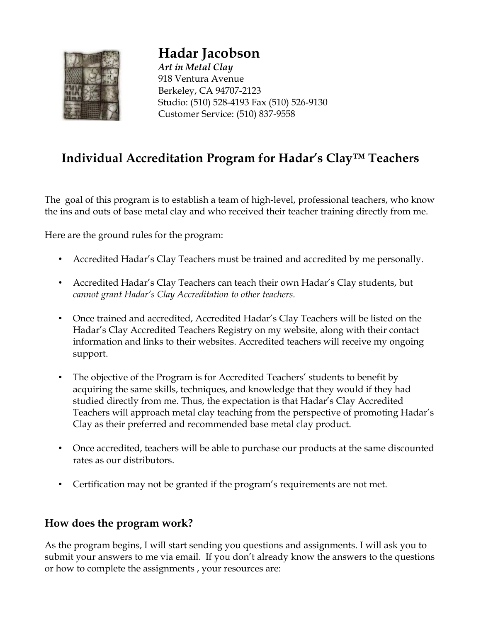

**Hadar Jacobson**  *Art in Metal Clay* 918 Ventura Avenue Berkeley, CA 94707-2123 Studio: (510) 528-4193 Fax (510) 526-9130 Customer Service: (510) 837-9558

# **Individual Accreditation Program for Hadar's Clay™ Teachers**

The goal of this program is to establish a team of high-level, professional teachers, who know the ins and outs of base metal clay and who received their teacher training directly from me.

Here are the ground rules for the program:

- Accredited Hadar's Clay Teachers must be trained and accredited by me personally.
- Accredited Hadar's Clay Teachers can teach their own Hadar's Clay students, but *cannot grant Hadar's Clay Accreditation to other teachers.*
- Once trained and accredited, Accredited Hadar's Clay Teachers will be listed on the Hadar's Clay Accredited Teachers Registry on my website, along with their contact information and links to their websites. Accredited teachers will receive my ongoing support.
- The objective of the Program is for Accredited Teachers' students to benefit by acquiring the same skills, techniques, and knowledge that they would if they had studied directly from me. Thus, the expectation is that Hadar's Clay Accredited Teachers will approach metal clay teaching from the perspective of promoting Hadar's Clay as their preferred and recommended base metal clay product.
- Once accredited, teachers will be able to purchase our products at the same discounted rates as our distributors.
- Certification may not be granted if the program's requirements are not met.

## **How does the program work?**

As the program begins, I will start sending you questions and assignments. I will ask you to submit your answers to me via email. If you don't already know the answers to the questions or how to complete the assignments , your resources are: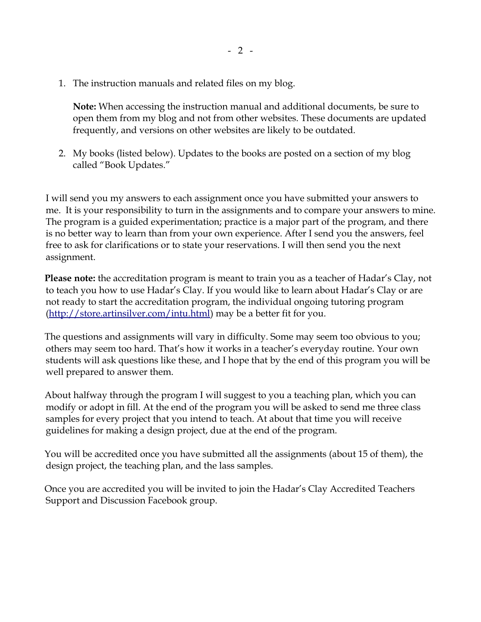1. The instruction manuals and related files on my blog.

**Note:** When accessing the instruction manual and additional documents, be sure to open them from my blog and not from other websites. These documents are updated frequently, and versions on other websites are likely to be outdated.

2. My books (listed below). Updates to the books are posted on a section of my blog called "Book Updates."

I will send you my answers to each assignment once you have submitted your answers to me. It is your responsibility to turn in the assignments and to compare your answers to mine. The program is a guided experimentation; practice is a major part of the program, and there is no better way to learn than from your own experience. After I send you the answers, feel free to ask for clarifications or to state your reservations. I will then send you the next assignment.

**Please note:** the accreditation program is meant to train you as a teacher of Hadar's Clay, not to teach you how to use Hadar's Clay. If you would like to learn about Hadar's Clay or are not ready to start the accreditation program, the individual ongoing tutoring program [\(http://store.artinsilver.com/intu.html\)](http://store.artinsilver.com/intu.html) may be a better fit for you.

The questions and assignments will vary in difficulty. Some may seem too obvious to you; others may seem too hard. That's how it works in a teacher's everyday routine. Your own students will ask questions like these, and I hope that by the end of this program you will be well prepared to answer them.

About halfway through the program I will suggest to you a teaching plan, which you can modify or adopt in fill. At the end of the program you will be asked to send me three class samples for every project that you intend to teach. At about that time you will receive guidelines for making a design project, due at the end of the program.

You will be accredited once you have submitted all the assignments (about 15 of them), the design project, the teaching plan, and the lass samples.

Once you are accredited you will be invited to join the Hadar's Clay Accredited Teachers Support and Discussion Facebook group.